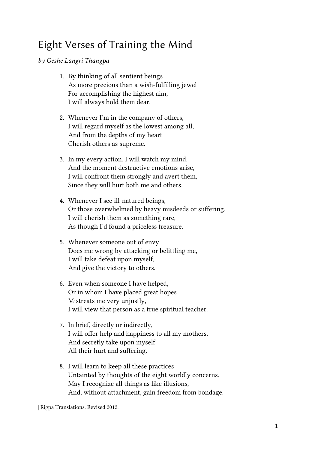## Eight Verses of Training the Mind

by Geshe Langri Thangpa

- 1. By thinking of all sentient beings As more precious than a wish-fulfilling jewel For accomplishing the highest aim, I will always hold them dear.
- 2. Whenever I'm in the company of others, I will regard myself as the lowest among all, And from the depths of my heart Cherish others as supreme.
- 3. In my every action, I will watch my mind, And the moment destructive emotions arise, I will confront them strongly and avert them, Since they will hurt both me and others.
- 4. Whenever I see ill-natured beings, Or those overwhelmed by heavy misdeeds or suffering, I will cherish them as something rare, As though I'd found a priceless treasure.
- 5. Whenever someone out of envy Does me wrong by attacking or belittling me, I will take defeat upon myself, And give the victory to others.
- 6. Even when someone I have helped, Or in whom I have placed great hopes Mistreats me very unjustly, I will view that person as a true spiritual teacher.
- 7. In brief, directly or indirectly, I will offer help and happiness to all my mothers, And secretly take upon myself All their hurt and suffering.
- 8. I will learn to keep all these practices Untainted by thoughts of the eight worldly concerns. May I recognize all things as like illusions, And, without attachment, gain freedom from bondage.

| Rigpa Translations. Revised 2012.